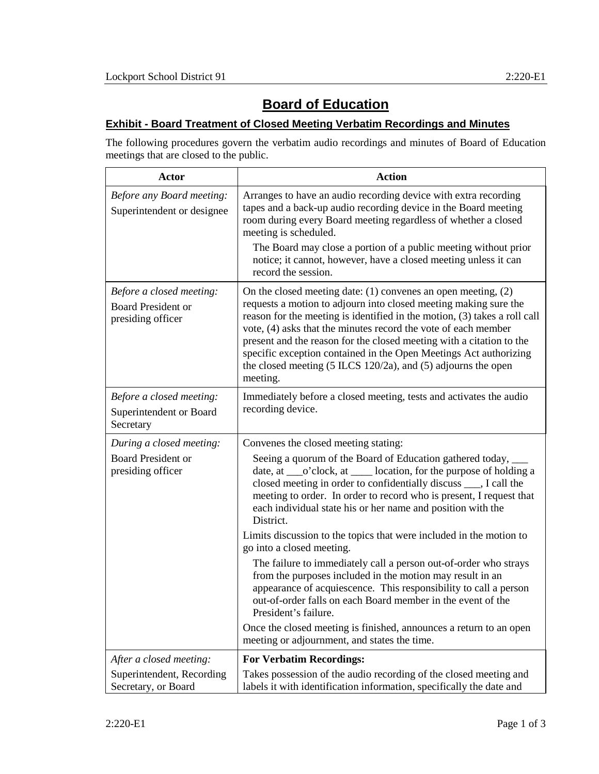## **Board of Education**

## **Exhibit - Board Treatment of Closed Meeting Verbatim Recordings and Minutes**

The following procedures govern the verbatim audio recordings and minutes of Board of Education meetings that are closed to the public.

| Actor                                                                      | <b>Action</b>                                                                                                                                                                                                                                                                                                                                                                                                                                                                                                      |
|----------------------------------------------------------------------------|--------------------------------------------------------------------------------------------------------------------------------------------------------------------------------------------------------------------------------------------------------------------------------------------------------------------------------------------------------------------------------------------------------------------------------------------------------------------------------------------------------------------|
| Before any Board meeting:<br>Superintendent or designee                    | Arranges to have an audio recording device with extra recording<br>tapes and a back-up audio recording device in the Board meeting<br>room during every Board meeting regardless of whether a closed<br>meeting is scheduled.<br>The Board may close a portion of a public meeting without prior<br>notice; it cannot, however, have a closed meeting unless it can<br>record the session.                                                                                                                         |
| Before a closed meeting:<br><b>Board President or</b><br>presiding officer | On the closed meeting date: $(1)$ convenes an open meeting, $(2)$<br>requests a motion to adjourn into closed meeting making sure the<br>reason for the meeting is identified in the motion, (3) takes a roll call<br>vote, (4) asks that the minutes record the vote of each member<br>present and the reason for the closed meeting with a citation to the<br>specific exception contained in the Open Meetings Act authorizing<br>the closed meeting $(5$ ILCS 120/2a), and $(5)$ adjourns the open<br>meeting. |
| Before a closed meeting:<br>Superintendent or Board<br>Secretary           | Immediately before a closed meeting, tests and activates the audio<br>recording device.                                                                                                                                                                                                                                                                                                                                                                                                                            |
| During a closed meeting:<br><b>Board President or</b><br>presiding officer | Convenes the closed meeting stating:<br>Seeing a quorum of the Board of Education gathered today,<br>date, at ___o'clock, at _____ location, for the purpose of holding a<br>closed meeting in order to confidentially discuss ___, I call the<br>meeting to order. In order to record who is present, I request that<br>each individual state his or her name and position with the<br>District.                                                                                                                  |
|                                                                            | Limits discussion to the topics that were included in the motion to<br>go into a closed meeting.<br>The failure to immediately call a person out-of-order who strays<br>from the purposes included in the motion may result in an<br>appearance of acquiescence. This responsibility to call a person<br>out-of-order falls on each Board member in the event of the<br>President's failure.<br>Once the closed meeting is finished, announces a return to an open<br>meeting or adjournment, and states the time. |
| After a closed meeting:                                                    | <b>For Verbatim Recordings:</b>                                                                                                                                                                                                                                                                                                                                                                                                                                                                                    |
| Superintendent, Recording<br>Secretary, or Board                           | Takes possession of the audio recording of the closed meeting and<br>labels it with identification information, specifically the date and                                                                                                                                                                                                                                                                                                                                                                          |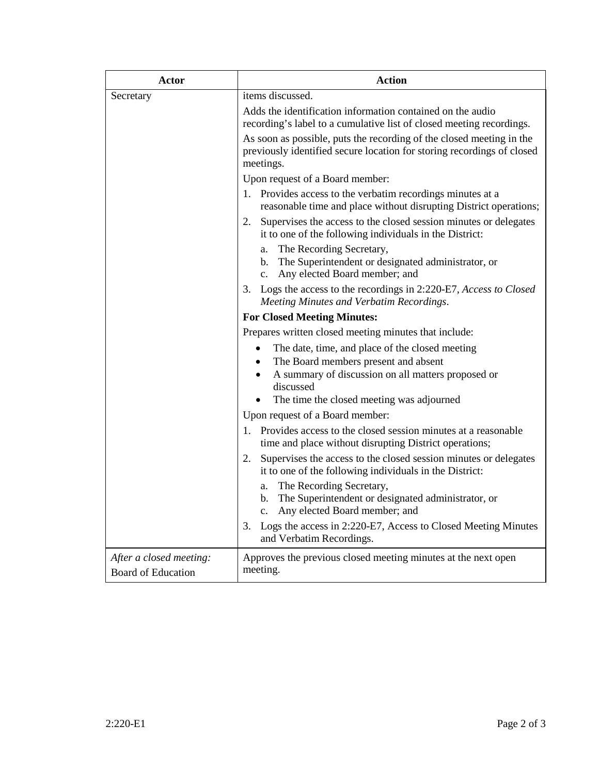| Actor                                                | <b>Action</b>                                                                                                                                               |
|------------------------------------------------------|-------------------------------------------------------------------------------------------------------------------------------------------------------------|
| Secretary                                            | items discussed.                                                                                                                                            |
|                                                      | Adds the identification information contained on the audio<br>recording's label to a cumulative list of closed meeting recordings.                          |
|                                                      | As soon as possible, puts the recording of the closed meeting in the<br>previously identified secure location for storing recordings of closed<br>meetings. |
|                                                      | Upon request of a Board member:                                                                                                                             |
|                                                      | 1. Provides access to the verbatim recordings minutes at a<br>reasonable time and place without disrupting District operations;                             |
|                                                      | Supervises the access to the closed session minutes or delegates<br>2.<br>it to one of the following individuals in the District:                           |
|                                                      | The Recording Secretary,<br>a.<br>b. The Superintendent or designated administrator, or<br>c. Any elected Board member; and                                 |
|                                                      | 3. Logs the access to the recordings in 2:220-E7, Access to Closed<br>Meeting Minutes and Verbatim Recordings.                                              |
|                                                      | <b>For Closed Meeting Minutes:</b>                                                                                                                          |
|                                                      | Prepares written closed meeting minutes that include:                                                                                                       |
|                                                      | The date, time, and place of the closed meeting<br>$\bullet$<br>The Board members present and absent<br>$\bullet$                                           |
|                                                      | A summary of discussion on all matters proposed or<br>discussed                                                                                             |
|                                                      | The time the closed meeting was adjourned                                                                                                                   |
|                                                      | Upon request of a Board member:                                                                                                                             |
|                                                      | 1. Provides access to the closed session minutes at a reasonable<br>time and place without disrupting District operations;                                  |
|                                                      | 2.<br>Supervises the access to the closed session minutes or delegates<br>it to one of the following individuals in the District:                           |
|                                                      | a. The Recording Secretary,<br>b. The Superintendent or designated administrator, or<br>Any elected Board member; and<br>$c_{\cdot}$                        |
|                                                      | 3.<br>Logs the access in 2:220-E7, Access to Closed Meeting Minutes<br>and Verbatim Recordings.                                                             |
| After a closed meeting:<br><b>Board of Education</b> | Approves the previous closed meeting minutes at the next open<br>meeting.                                                                                   |